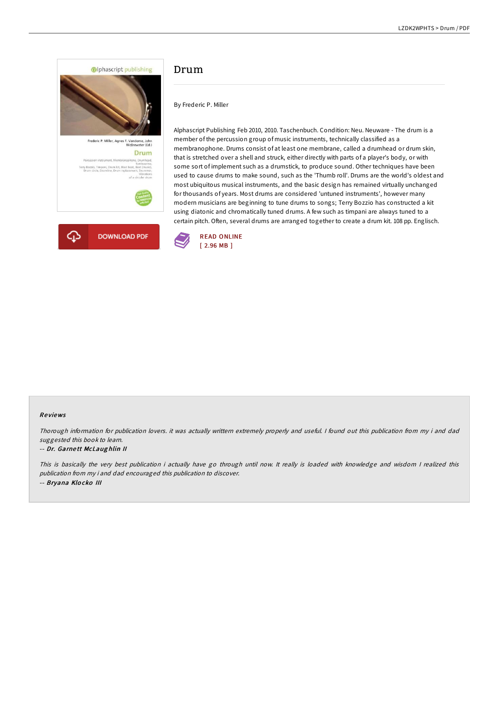

# Drum

By Frederic P. Miller

Alphascript Publishing Feb 2010, 2010. Taschenbuch. Condition: Neu. Neuware - The drum is a member of the percussion group of music instruments, technically classified as a membranophone. Drums consist of at least one membrane, called a drumhead or drum skin, that is stretched over a shell and struck, either directly with parts of a player's body, or with some sort of implement such as a drumstick, to produce sound. Other techniques have been used to cause drums to make sound, such as the 'Thumb roll'. Drums are the world's oldest and most ubiquitous musical instruments, and the basic design has remained virtually unchanged for thousands of years. Most drums are considered 'untuned instruments', however many modern musicians are beginning to tune drums to songs; Terry Bozzio has constructed a kit using diatonic and chromatically tuned drums. A few such as timpani are always tuned to a certain pitch. Often, several drums are arranged together to create a drum kit. 108 pp. Englisch.



#### Re views

Thorough information for publication lovers. it was actually writtern extremely properly and useful. <sup>I</sup> found out this publication from my i and dad suggested this book to learn.

#### -- Dr. Garne tt McLaug hlin II

This is basically the very best publication i actually have go through until now. It really is loaded with knowledge and wisdom I realized this publication from my i and dad encouraged this publication to discover. -- Bryana Klo cko III